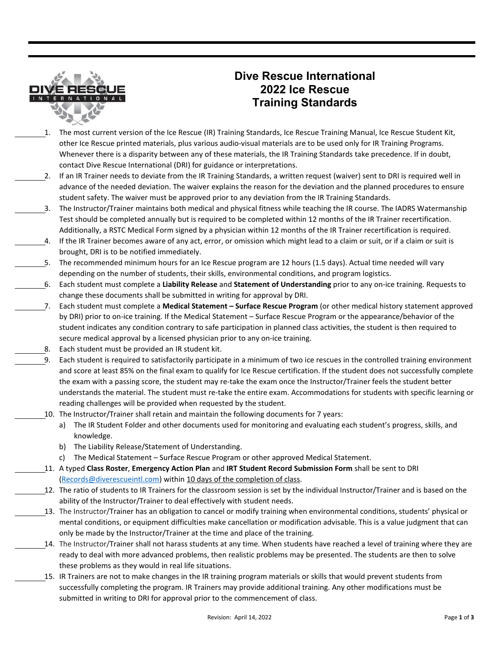

## **Dive Rescue International 2022 Ice Rescue Training Standards**

- 1. The most current version of the Ice Rescue (IR) Training Standards, Ice Rescue Training Manual, Ice Rescue Student Kit, other Ice Rescue printed materials, plus various audio-visual materials are to be used only for IR Training Programs. Whenever there is a disparity between any of these materials, the IR Training Standards take precedence. If in doubt, contact Dive Rescue International (DRI) for guidance or interpretations.
- 2. If an IR Trainer needs to deviate from the IR Training Standards, a written request (waiver) sent to DRI is required well in advance of the needed deviation. The waiver explains the reason for the deviation and the planned procedures to ensure student safety. The waiver must be approved prior to any deviation from the IR Training Standards.
- 3. The Instructor/Trainer maintains both medical and physical fitness while teaching the IR course. The IADRS Watermanship Test should be completed annually but is required to be completed within 12 months of the IR Trainer recertification. Additionally, a RSTC Medical Form signed by a physician within 12 months of the IR Trainer recertification is required.
- 4. If the IR Trainer becomes aware of any act, error, or omission which might lead to a claim or suit, or if a claim or suit is brought, DRI is to be notified immediately.
- 5. The recommended minimum hours for an Ice Rescue program are 12 hours (1.5 days). Actual time needed will vary depending on the number of students, their skills, environmental conditions, and program logistics.
- 6. Each student must complete a **Liability Release** and **Statement of Understanding** prior to any on-ice training. Requests to change these documents shall be submitted in writing for approval by DRI.
- 7. Each student must complete a **Medical Statement Surface Rescue Program** (or other medical history statement approved by DRI) prior to on-ice training. If the Medical Statement – Surface Rescue Program or the appearance/behavior of the student indicates any condition contrary to safe participation in planned class activities, the student is then required to secure medical approval by a licensed physician prior to any on-ice training.
	- 8. Each student must be provided an IR student kit.
- 9. Each student is required to satisfactorily participate in a minimum of two ice rescues in the controlled training environment and score at least 85% on the final exam to qualify for Ice Rescue certification. If the student does not successfully complete the exam with a passing score, the student may re-take the exam once the Instructor/Trainer feels the student better understands the material. The student must re-take the entire exam. Accommodations for students with specific learning or reading challenges will be provided when requested by the student.
	- 10. The Instructor/Trainer shall retain and maintain the following documents for 7 years:
		- a) The IR Student Folder and other documents used for monitoring and evaluating each student's progress, skills, and knowledge.
		- b) The Liability Release/Statement of Understanding.
		- c) The Medical Statement Surface Rescue Program or other approved Medical Statement.
- 11. A typed **Class Roster**, **Emergency Action Plan** and **IRT Student Record Submission Form** shall be sent to DRI [\(Records@diverescueintl.com\)](mailto:Records@diverescueintl.com) within 10 days of the completion of class.
	- 12. The ratio of students to IR Trainers for the classroom session is set by the individual Instructor/Trainer and is based on the ability of the Instructor/Trainer to deal effectively with student needs.
	- 13. The Instructor/Trainer has an obligation to cancel or modify training when environmental conditions, students' physical or mental conditions, or equipment difficulties make cancellation or modification advisable. This is a value judgment that can only be made by the Instructor/Trainer at the time and place of the training.
- 14. The Instructor/Trainer shall not harass students at any time. When students have reached a level of training where they are ready to deal with more advanced problems, then realistic problems may be presented. The students are then to solve these problems as they would in real life situations.
	- 15. IR Trainers are not to make changes in the IR training program materials or skills that would prevent students from successfully completing the program. IR Trainers may provide additional training. Any other modifications must be submitted in writing to DRI for approval prior to the commencement of class.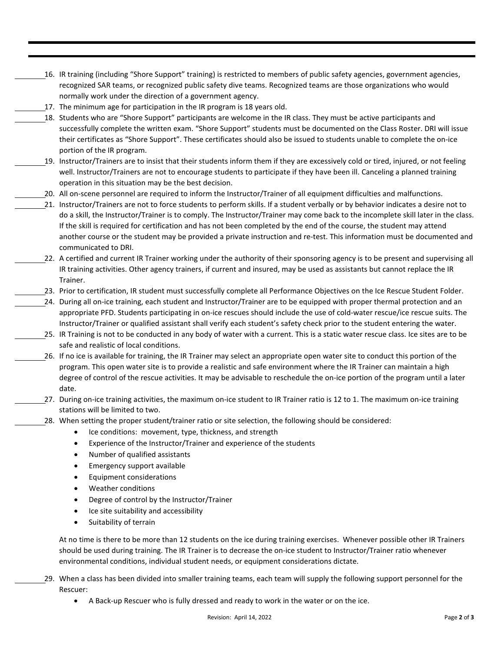- 16. IR training (including "Shore Support" training) is restricted to members of public safety agencies, government agencies, recognized SAR teams, or recognized public safety dive teams. Recognized teams are those organizations who would normally work under the direction of a government agency.
- 17. The minimum age for participation in the IR program is 18 years old.
- 18. Students who are "Shore Support" participants are welcome in the IR class. They must be active participants and successfully complete the written exam. "Shore Support" students must be documented on the Class Roster. DRI will issue their certificates as "Shore Support". These certificates should also be issued to students unable to complete the on-ice portion of the IR program.
- 19. Instructor/Trainers are to insist that their students inform them if they are excessively cold or tired, injured, or not feeling well. Instructor/Trainers are not to encourage students to participate if they have been ill. Canceling a planned training operation in this situation may be the best decision.
	- 20. All on-scene personnel are required to inform the Instructor/Trainer of all equipment difficulties and malfunctions.
	- 21. Instructor/Trainers are not to force students to perform skills. If a student verbally or by behavior indicates a desire not to do a skill, the Instructor/Trainer is to comply. The Instructor/Trainer may come back to the incomplete skill later in the class. If the skill is required for certification and has not been completed by the end of the course, the student may attend another course or the student may be provided a private instruction and re-test. This information must be documented and communicated to DRI.
	- 22. A certified and current IR Trainer working under the authority of their sponsoring agency is to be present and supervising all IR training activities. Other agency trainers, if current and insured, may be used as assistants but cannot replace the IR Trainer.
- 23. Prior to certification, IR student must successfully complete all Performance Objectives on the Ice Rescue Student Folder.
- 24. During all on-ice training, each student and Instructor/Trainer are to be equipped with proper thermal protection and an appropriate PFD. Students participating in on-ice rescues should include the use of cold-water rescue/ice rescue suits. The Instructor/Trainer or qualified assistant shall verify each student's safety check prior to the student entering the water.
	- 25. IR Training is not to be conducted in any body of water with a current. This is a static water rescue class. Ice sites are to be safe and realistic of local conditions.
	- 26. If no ice is available for training, the IR Trainer may select an appropriate open water site to conduct this portion of the program. This open water site is to provide a realistic and safe environment where the IR Trainer can maintain a high degree of control of the rescue activities. It may be advisable to reschedule the on-ice portion of the program until a later date.
	- 27. During on-ice training activities, the maximum on-ice student to IR Trainer ratio is 12 to 1. The maximum on-ice training stations will be limited to two.
- 28. When setting the proper student/trainer ratio or site selection, the following should be considered:
	- Ice conditions: movement, type, thickness, and strength
	- Experience of the Instructor/Trainer and experience of the students
	- Number of qualified assistants
	- Emergency support available
	- Equipment considerations
	- Weather conditions
	- Degree of control by the Instructor/Trainer
	- Ice site suitability and accessibility
	- Suitability of terrain

At no time is there to be more than 12 students on the ice during training exercises. Whenever possible other IR Trainers should be used during training. The IR Trainer is to decrease the on-ice student to Instructor/Trainer ratio whenever environmental conditions, individual student needs, or equipment considerations dictate.

- 29. When a class has been divided into smaller training teams, each team will supply the following support personnel for the Rescuer:
	- A Back-up Rescuer who is fully dressed and ready to work in the water or on the ice.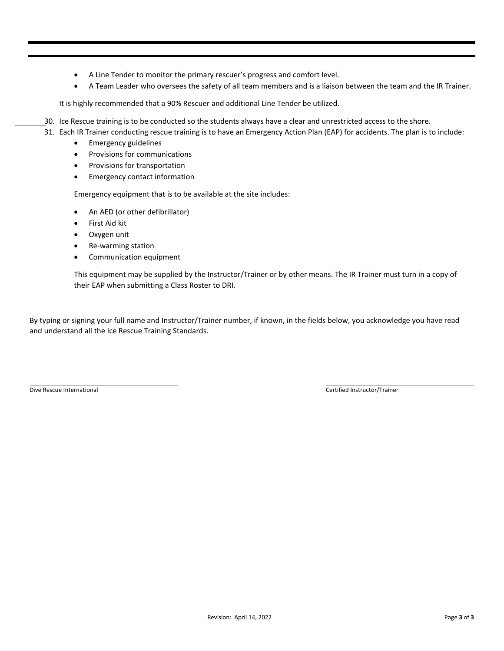- A Line Tender to monitor the primary rescuer's progress and comfort level.
- A Team Leader who oversees the safety of all team members and is a liaison between the team and the IR Trainer.

It is highly recommended that a 90% Rescuer and additional Line Tender be utilized.

- 30. Ice Rescue training is to be conducted so the students always have a clear and unrestricted access to the shore.
	- 31. Each IR Trainer conducting rescue training is to have an Emergency Action Plan (EAP) for accidents. The plan is to include:
		- Emergency guidelines
		- Provisions for communications
		- Provisions for transportation
		- Emergency contact information

Emergency equipment that is to be available at the site includes:

- An AED (or other defibrillator)
- First Aid kit
- Oxygen unit
- Re-warming station
- Communication equipment

This equipment may be supplied by the Instructor/Trainer or by other means. The IR Trainer must turn in a copy of their EAP when submitting a Class Roster to DRI.

By typing or signing your full name and Instructor/Trainer number, if known, in the fields below, you acknowledge you have read and understand all the Ice Rescue Training Standards.

Dive Rescue International Certified Instructor/Trainer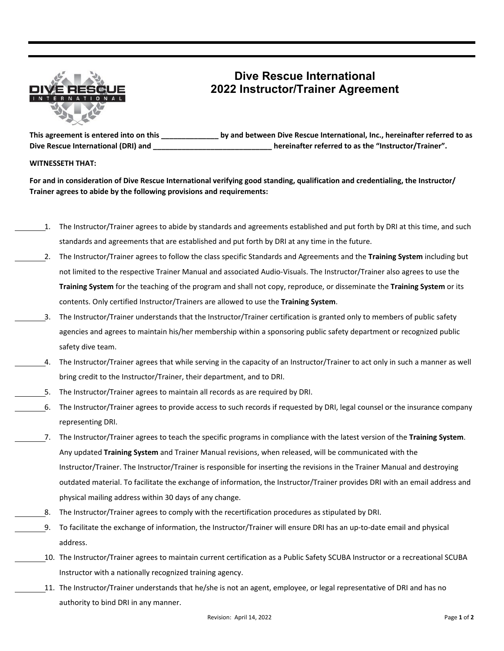

## **Dive Rescue International 2022 Instructor/Trainer Agreement**

**This agreement is entered into on this \_\_\_\_\_\_\_\_\_\_\_\_\_\_ by and between Dive Rescue International, Inc., hereinafter referred to as Dive Rescue International (DRI) and \_\_\_\_\_\_\_\_\_\_\_\_\_\_\_\_\_\_\_\_\_\_\_\_\_\_\_\_\_ hereinafter referred to as the "Instructor/Trainer".**

#### **WITNESSETH THAT:**

**For and in consideration of Dive Rescue International verifying good standing, qualification and credentialing, the Instructor/ Trainer agrees to abide by the following provisions and requirements:**

- 1. The Instructor/Trainer agrees to abide by standards and agreements established and put forth by DRI at this time, and such standards and agreements that are established and put forth by DRI at any time in the future.
- 2. The Instructor/Trainer agrees to follow the class specific Standards and Agreements and the **Training System** including but not limited to the respective Trainer Manual and associated Audio-Visuals. The Instructor/Trainer also agrees to use the **Training System** for the teaching of the program and shall not copy, reproduce, or disseminate the **Training System** or its contents. Only certified Instructor/Trainers are allowed to use the **Training System**.
- 3. The Instructor/Trainer understands that the Instructor/Trainer certification is granted only to members of public safety agencies and agrees to maintain his/her membership within a sponsoring public safety department or recognized public safety dive team.
- 4. The Instructor/Trainer agrees that while serving in the capacity of an Instructor/Trainer to act only in such a manner as well bring credit to the Instructor/Trainer, their department, and to DRI.
- 5. The Instructor/Trainer agrees to maintain all records as are required by DRI.
- 6. The Instructor/Trainer agrees to provide access to such records if requested by DRI, legal counsel or the insurance company representing DRI.
- 7. The Instructor/Trainer agrees to teach the specific programs in compliance with the latest version of the **Training System**. Any updated **Training System** and Trainer Manual revisions, when released, will be communicated with the Instructor/Trainer. The Instructor/Trainer is responsible for inserting the revisions in the Trainer Manual and destroying outdated material. To facilitate the exchange of information, the Instructor/Trainer provides DRI with an email address and physical mailing address within 30 days of any change.
	- 8. The Instructor/Trainer agrees to comply with the recertification procedures as stipulated by DRI.
- 9. To facilitate the exchange of information, the Instructor/Trainer will ensure DRI has an up-to-date email and physical address.
- 10. The Instructor/Trainer agrees to maintain current certification as a Public Safety SCUBA Instructor or a recreational SCUBA Instructor with a nationally recognized training agency.
	- 11. The Instructor/Trainer understands that he/she is not an agent, employee, or legal representative of DRI and has no authority to bind DRI in any manner.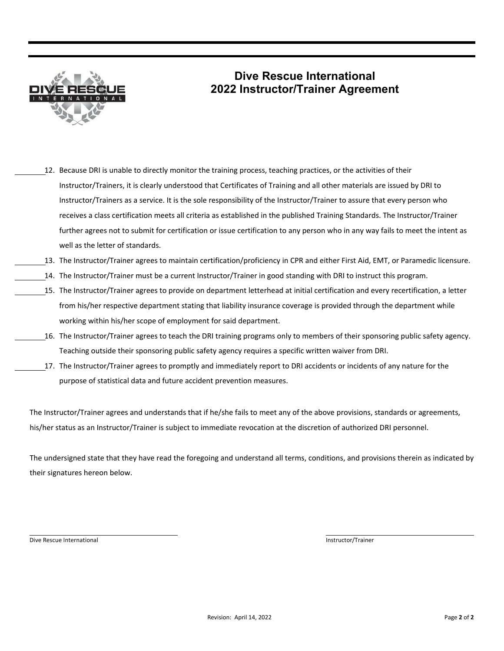

# **Dive Rescue International 2022 Instructor/Trainer Agreement**

- 12. Because DRI is unable to directly monitor the training process, teaching practices, or the activities of their Instructor/Trainers, it is clearly understood that Certificates of Training and all other materials are issued by DRI to Instructor/Trainers as a service. It is the sole responsibility of the Instructor/Trainer to assure that every person who receives a class certification meets all criteria as established in the published Training Standards. The Instructor/Trainer further agrees not to submit for certification or issue certification to any person who in any way fails to meet the intent as well as the letter of standards.
- 13. The Instructor/Trainer agrees to maintain certification/proficiency in CPR and either First Aid, EMT, or Paramedic licensure.
- 14. The Instructor/Trainer must be a current Instructor/Trainer in good standing with DRI to instruct this program.
- 15. The Instructor/Trainer agrees to provide on department letterhead at initial certification and every recertification, a letter from his/her respective department stating that liability insurance coverage is provided through the department while working within his/her scope of employment for said department.
	- 16. The Instructor/Trainer agrees to teach the DRI training programs only to members of their sponsoring public safety agency. Teaching outside their sponsoring public safety agency requires a specific written waiver from DRI.
- 17. The Instructor/Trainer agrees to promptly and immediately report to DRI accidents or incidents of any nature for the purpose of statistical data and future accident prevention measures.

The Instructor/Trainer agrees and understands that if he/she fails to meet any of the above provisions, standards or agreements, his/her status as an Instructor/Trainer is subject to immediate revocation at the discretion of authorized DRI personnel.

The undersigned state that they have read the foregoing and understand all terms, conditions, and provisions therein as indicated by their signatures hereon below.

Dive Rescue International and the contractor of the contractor of the contractor of the contractor of the contractor of the contractor of the contractor of the contractor of the contractor of the contractor of the contract